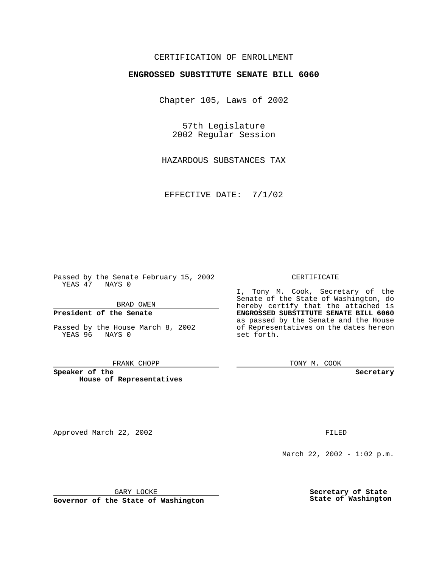## CERTIFICATION OF ENROLLMENT

# **ENGROSSED SUBSTITUTE SENATE BILL 6060**

Chapter 105, Laws of 2002

57th Legislature 2002 Regular Session

HAZARDOUS SUBSTANCES TAX

EFFECTIVE DATE: 7/1/02

Passed by the Senate February 15, 2002 YEAS 47 NAYS 0

BRAD OWEN

### **President of the Senate**

Passed by the House March 8, 2002 YEAS 96 NAYS 0

#### FRANK CHOPP

**Speaker of the House of Representatives** TONY M. COOK

**Secretary**

Approved March 22, 2002 **FILED** 

March 22, 2002 - 1:02 p.m.

GARY LOCKE

**Governor of the State of Washington**

**Secretary of State State of Washington**

### CERTIFICATE

I, Tony M. Cook, Secretary of the Senate of the State of Washington, do hereby certify that the attached is **ENGROSSED SUBSTITUTE SENATE BILL 6060** as passed by the Senate and the House of Representatives on the dates hereon set forth.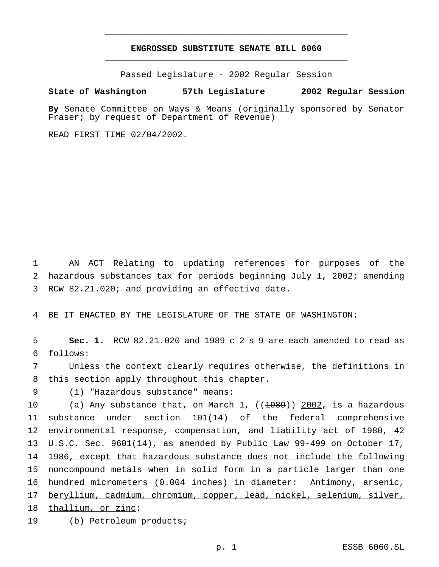# **ENGROSSED SUBSTITUTE SENATE BILL 6060** \_\_\_\_\_\_\_\_\_\_\_\_\_\_\_\_\_\_\_\_\_\_\_\_\_\_\_\_\_\_\_\_\_\_\_\_\_\_\_\_\_\_\_\_\_\_\_

\_\_\_\_\_\_\_\_\_\_\_\_\_\_\_\_\_\_\_\_\_\_\_\_\_\_\_\_\_\_\_\_\_\_\_\_\_\_\_\_\_\_\_\_\_\_\_

Passed Legislature - 2002 Regular Session

### **State of Washington 57th Legislature 2002 Regular Session**

**By** Senate Committee on Ways & Means (originally sponsored by Senator Fraser; by request of Department of Revenue)

READ FIRST TIME 02/04/2002.

 AN ACT Relating to updating references for purposes of the hazardous substances tax for periods beginning July 1, 2002; amending RCW 82.21.020; and providing an effective date.

BE IT ENACTED BY THE LEGISLATURE OF THE STATE OF WASHINGTON:

 **Sec. 1.** RCW 82.21.020 and 1989 c 2 s 9 are each amended to read as follows:

 Unless the context clearly requires otherwise, the definitions in this section apply throughout this chapter.

(1) "Hazardous substance" means:

10 (a) Any substance that, on March 1, ((1989)) 2002, is a hazardous substance under section 101(14) of the federal comprehensive environmental response, compensation, and liability act of 1980, 42 13 U.S.C. Sec. 9601(14), as amended by Public Law 99-499 on October 17, 1986, except that hazardous substance does not include the following noncompound metals when in solid form in a particle larger than one hundred micrometers (0.004 inches) in diameter: Antimony, arsenic, beryllium, cadmium, chromium, copper, lead, nickel, selenium, silver, thallium, or zinc; (b) Petroleum products;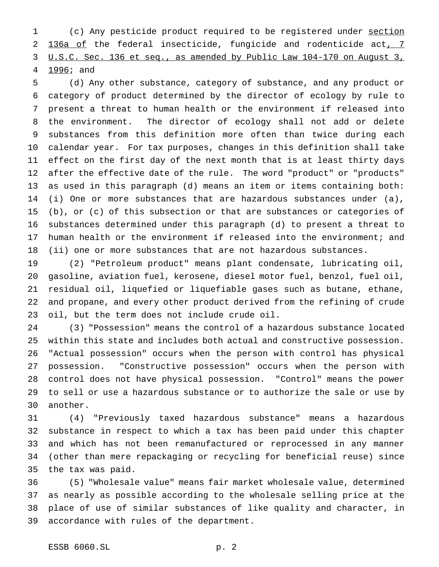(c) Any pesticide product required to be registered under section 2 136a of the federal insecticide, fungicide and rodenticide act, 7 U.S.C. Sec. 136 et seq., as amended by Public Law 104-170 on August 3, 1996; and

 (d) Any other substance, category of substance, and any product or category of product determined by the director of ecology by rule to present a threat to human health or the environment if released into the environment. The director of ecology shall not add or delete substances from this definition more often than twice during each calendar year. For tax purposes, changes in this definition shall take effect on the first day of the next month that is at least thirty days after the effective date of the rule. The word "product" or "products" as used in this paragraph (d) means an item or items containing both: (i) One or more substances that are hazardous substances under (a), (b), or (c) of this subsection or that are substances or categories of substances determined under this paragraph (d) to present a threat to human health or the environment if released into the environment; and (ii) one or more substances that are not hazardous substances.

 (2) "Petroleum product" means plant condensate, lubricating oil, gasoline, aviation fuel, kerosene, diesel motor fuel, benzol, fuel oil, residual oil, liquefied or liquefiable gases such as butane, ethane, and propane, and every other product derived from the refining of crude oil, but the term does not include crude oil.

 (3) "Possession" means the control of a hazardous substance located within this state and includes both actual and constructive possession. "Actual possession" occurs when the person with control has physical possession. "Constructive possession" occurs when the person with control does not have physical possession. "Control" means the power to sell or use a hazardous substance or to authorize the sale or use by another.

 (4) "Previously taxed hazardous substance" means a hazardous substance in respect to which a tax has been paid under this chapter and which has not been remanufactured or reprocessed in any manner (other than mere repackaging or recycling for beneficial reuse) since the tax was paid.

 (5) "Wholesale value" means fair market wholesale value, determined as nearly as possible according to the wholesale selling price at the place of use of similar substances of like quality and character, in accordance with rules of the department.